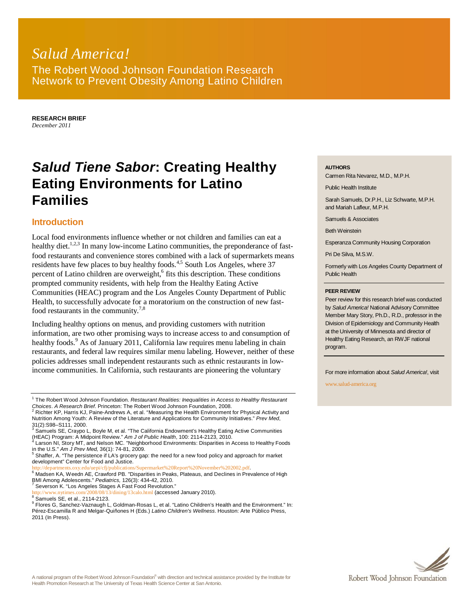## *Salud America!* The Robert Wood Johnson Foundation Research Network to Prevent Obesity Among Latino Children

**RESEARCH BRIEF** *December 2011*

# *Salud Tiene Sabor***: Creating Healthy Eating Environments for Latino Families**

## **Introduction**

Local food environments influence whether or not children and families can eat a healthy diet.<sup>1,2,3</sup> In many low-income Latino communities, the preponderance of fastfood restaurants and convenience stores combined with a lack of supermarkets means residents have few places to buy healthy foods.<sup>4,5</sup> South Los Angeles, where 37 percent of Latino children are overweight,<sup>6</sup> fits this description. These conditions prompted community residents, with help from the Healthy Eating Active Communities (HEAC) program and the Los Angeles County Department of Public Health, to successfully advocate for a moratorium on the construction of new fastfood restaurants in the community.<sup>7,8</sup>

Including healthy options on menus, and providing customers with nutrition information, are two other promising ways to increase access to and consumption of healthy foods.<sup>9</sup> As of January 2011, California law requires menu labeling in chain restaurants, and federal law requires similar menu labeling. However, neither of these policies addresses small independent restaurants such as ethnic restaurants in lowincome communities. In California, such restaurants are pioneering the voluntary

i/cfi/publications/Supermarket%20Report%20November%202002.pdf.

8 Samuels SE, et al., 2114-2123.

#### **AUTHORS**

Carmen Rita Nevarez, M.D., M.P.H.

Public Health Institute

Sarah Samuels, Dr.P.H., Liz Schwarte, M.P.H. and Mariah Lafleur, M.P.H.

Samuels & Associates

Beth Weinstein

Esperanza Community Housing Corporation

Pri De Silva, M.S.W.

Formerly with Los Angeles County Department of Public Health

#### **PEER REVIEW**

Peer review for this research brief was conducted by *Salud America!* National Advisory Committee Member Mary Story, Ph.D., R.D., professor in the Division of Epidemiology and Community Health at the University of Minnesota and director of Healthy Eating Research, an RWJF national program.

For more information about *Salud America!*, visit

www.salud-america.org



<sup>&</sup>lt;sup>1</sup> The Robert Wood Johnson Foundation. *Restaurant Realities: Inequalities in Access to Healthy Restaurant Choices*. *A Research Brief*. Princeton: The Robert Wood Johnson Foundation, 2008.

<sup>2</sup> Richter KP, Harris KJ, Paine-Andrews A, et al. "Measuring the Health Environment for Physical Activity and Nutrition Among Youth: A Review of the Literature and Applications for Community Initiatives." *Prev Med*, 31(2):S98–S111, 2000.<br><sup>3</sup> Samuels SE, Craypo L, Boyle M, et al. "The California Endowment's Healthy Eating Active Communities

<sup>(</sup>HEAC) Program: A Midpoint Review." *Am J of Public Health*, 100: 2114-2123, 2010.<br><sup>4</sup> Larson NI, Story MT, and Nelson MC. "Neighborhood Environments: Disparities in Access to Healthy Foods

in the U.S." *Am J Prev Med,* 36(1): 74-81, 2009.<br><sup>5</sup> Shaffer, A. "The persistence if LA's grocery gap: the need for a new food policy and approach for market

development" Center for Food and Justice.

<sup>&</sup>lt;sup>6</sup> Madsen KA, Weedn AE, Crawford PB. "Disparities in Peaks, Plateaus, and Declines in Prevalence of High BMI Among Adolescents." *Pediatrics,* 126(3): 434-42, 2010. <sup>7</sup> Severson K. "Los Angeles Stages A Fast Food Revolution."

<sup>/</sup>dining/13calo.html (accessed January 2010).

<sup>&</sup>lt;sup>9</sup> Flores G, Sanchez-Vaznaugh L, Goldman-Rosas L, et al. "Latino Children's Health and the Environment." In: Pérez-Escamilla R and Melgar-Quiñones H (Eds.) *Latino Children's Wellness*. Houston: Arte Público Press, 2011 (In Press).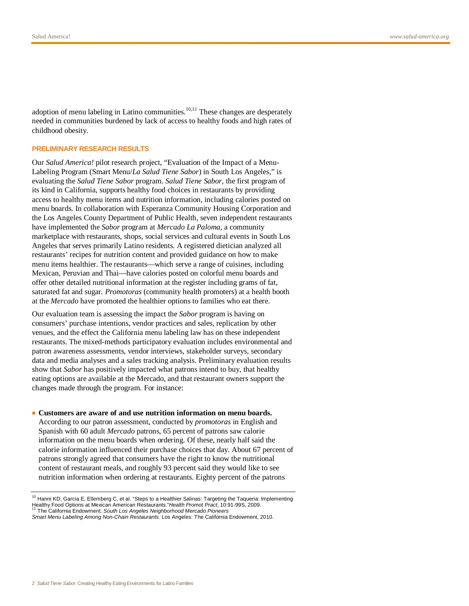adoption of menu labeling in Latino communities. $10,11$  These changes are desperately needed in communities burdened by lack of access to healthy foods and high rates of childhood obesity.

#### **PRELIMINARY RESEARCH RESULTS**

Our *Salud America!* pilot research project, "Evaluation of the Impact of a Menu-Labeling Program (Smart Menu/*La Salud Tiene Sabor*) in South Los Angeles," is evaluating the *Salud Tiene Sabor* program. *Salud Tiene Sabor*, the first program of its kind in California, supports healthy food choices in restaurants by providing access to healthy menu items and nutrition information, including calories posted on menu boards. In collaboration with Esperanza Community Housing Corporation and the Los Angeles County Department of Public Health, seven independent restaurants have implemented the *Sabor* program at *Mercado La Paloma,* a community marketplace with restaurants, shops, social services and cultural events in South Los Angeles that serves primarily Latino residents. A registered dietician analyzed all restaurants' recipes for nutrition content and provided guidance on how to make menu items healthier. The restaurants—which serve a range of cuisines, including Mexican, Peruvian and Thai—have calories posted on colorful menu boards and offer other detailed nutritional information at the register including grams of fat, saturated fat and sugar. *Promotoras* (community health promoters) at a health booth at the *Mercado* have promoted the healthier options to families who eat there.

Our evaluation team is assessing the impact the *Sabor* program is having on consumers' purchase intentions, vendor practices and sales, replication by other venues, and the effect the California menu labeling law has on these independent restaurants. The mixed-methods participatory evaluation includes environmental and patron awareness assessments, vendor interviews, stakeholder surveys, secondary data and media analyses and a sales tracking analysis. Preliminary evaluation results show that *Sabor* has positively impacted what patrons intend to buy, that healthy eating options are available at the Mercado, and that restaurant owners support the changes made through the program. For instance:

#### ■ **Customers are aware of and use nutrition information on menu boards.**

According to our patron assessment, conducted by *promotoras* in English and Spanish with 60 adult *Mercado* patrons, 65 percent of patrons saw calorie information on the menu boards when ordering. Of these, nearly half said the calorie information influenced their purchase choices that day. About 67 percent of patrons strongly agreed that consumers have the right to know the nutritional content of restaurant meals, and roughly 93 percent said they would like to see nutrition information when ordering at restaurants. Eighty percent of the patrons

 $10$  Hanni KD, Garcia E, Ellemberg C, et al. "Steps to a Healthier Salinas: Targeting the Taqueria: Implementing Healthy Food Options at Mexican American Restaurants."*Health Promot Pract*, 10:91-99S, 2009. <sup>11</sup> The California Endowment. *South Los Angeles Neighborhood Mercado Pioneers*

*Smart Menu Labeling Among Non-Chain Restaurants.* Los Angeles: The California Endowment, 2010.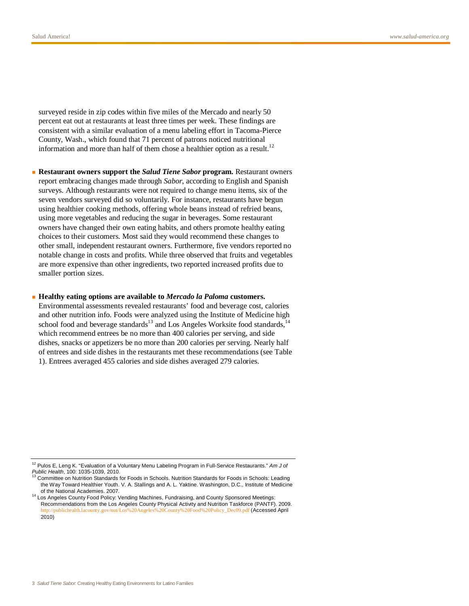surveyed reside in zip codes within five miles of the Mercado and nearly 50 percent eat out at restaurants at least three times per week. These findings are consistent with a similar evaluation of a menu labeling effort in Tacoma-Pierce County, Wash., which found that 71 percent of patrons noticed nutritional information and more than half of them chose a healthier option as a result.<sup>12</sup>

■ **Restaurant owners support the** *Salud Tiene Sabor* **program.** Restaurant owners report embracing changes made through *Sabor*, according to English and Spanish surveys. Although restaurants were not required to change menu items, six of the seven vendors surveyed did so voluntarily. For instance, restaurants have begun using healthier cooking methods, offering whole beans instead of refried beans, using more vegetables and reducing the sugar in beverages. Some restaurant owners have changed their own eating habits, and others promote healthy eating choices to their customers. Most said they would recommend these changes to other small, independent restaurant owners. Furthermore, five vendors reported no notable change in costs and profits. While three observed that fruits and vegetables are more expensive than other ingredients, two reported increased profits due to smaller portion sizes.

#### ■ **Healthy eating options are available to** *Mercado la Paloma* **customers.**

Environmental assessments revealed restaurants' food and beverage cost, calories and other nutrition info. Foods were analyzed using the Institute of Medicine high school food and beverage standards<sup>13</sup> and Los Angeles Worksite food standards,<sup>14</sup> which recommend entrees be no more than 400 calories per serving, and side dishes, snacks or appetizers be no more than 200 calories per serving. Nearly half of entrees and side dishes in the restaurants met these recommendations (see Table 1). Entrees averaged 455 calories and side dishes averaged 279 calories.

<sup>12</sup> Pulos E, Leng K. "Evaluation of a Voluntary Menu Labeling Program in Full-Service Restaurants." *Am J of Public Health*, 100: 1035-1039, 2010.

<sup>&</sup>lt;sup>13</sup> Committee on Nutrition Standards for Foods in Schools. Nutrition Standards for Foods in Schools: Leading the Way Toward Healthier Youth. V. A. Stallings and A. L. Yaktine. Washington, D.C., Institute of Medicine of the National Academies. 2007.

<sup>&</sup>lt;sup>14</sup> Los Angeles County Food Policy: Vending Machines, Fundraising, and County Sponsored Meetings: Recommendations from the Los Angeles County Physical Activity and Nutrition Taskforce (PANTF). 2009. http://publichealth.lacounty.gov/nut/Los%20Angeles%20County%20Food%20Policy\_Dec09.pdf (Accessed April 2010)